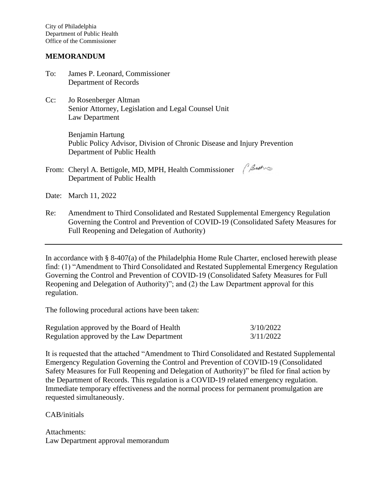City of Philadelphia Department of Public Health Office of the Commissioner

## **MEMORANDUM**

- To: James P. Leonard, Commissioner Department of Records
- Cc: Jo Rosenberger Altman Senior Attorney, Legislation and Legal Counsel Unit Law Department

Benjamin Hartung Public Policy Advisor, Division of Chronic Disease and Injury Prevention Department of Public Health

From: Cheryl A. Bettigole, MD, MPH, Health Commissioner (2sth Department of Public Health

Date: March 11, 2022

Re: Amendment to Third Consolidated and Restated Supplemental Emergency Regulation Governing the Control and Prevention of COVID-19 (Consolidated Safety Measures for Full Reopening and Delegation of Authority)

In accordance with § 8-407(a) of the Philadelphia Home Rule Charter, enclosed herewith please find: (1) "Amendment to Third Consolidated and Restated Supplemental Emergency Regulation Governing the Control and Prevention of COVID-19 (Consolidated Safety Measures for Full Reopening and Delegation of Authority)"; and (2) the Law Department approval for this regulation.

The following procedural actions have been taken:

| Regulation approved by the Board of Health | 3/10/2022 |
|--------------------------------------------|-----------|
| Regulation approved by the Law Department  | 3/11/2022 |

It is requested that the attached "Amendment to Third Consolidated and Restated Supplemental Emergency Regulation Governing the Control and Prevention of COVID-19 (Consolidated Safety Measures for Full Reopening and Delegation of Authority)" be filed for final action by the Department of Records. This regulation is a COVID-19 related emergency regulation. Immediate temporary effectiveness and the normal process for permanent promulgation are requested simultaneously.

CAB/initials

Attachments: Law Department approval memorandum